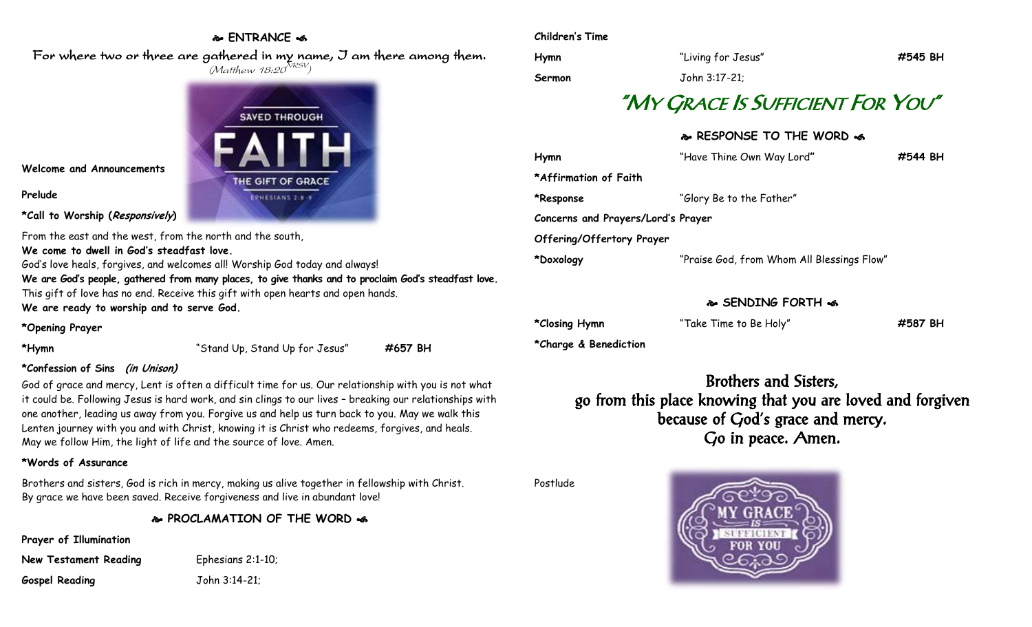### **ENTRANCE**

For where two or three are gathered in my name, I am there among them.  $(M$ atthew 18:20 $^{NRSV})$ 



**Welcome and Announcements**

### **Prelude**

**\*Call to Worship (Responsively)** 

From the east and the west, from the north and the south,

**We come to dwell in God's steadfast love.**

God's love heals, forgives, and welcomes all! Worship God today and always!

**We are God's people, gathered from many places, to give thanks and to proclaim God's steadfast love.** This gift of love has no end. Receive this gift with open hearts and open hands. **We are ready to worship and to serve God.**

### **\*Opening Prayer**

**\*Hymn** "Stand Up, Stand Up for Jesus" **#657 BH**

### **\*Confession of Sins (in Unison)**

God of grace and mercy, Lent is often a difficult time for us. Our relationship with you is not what it could be. Following Jesus is hard work, and sin clings to our lives – breaking our relationships with one another, leading us away from you. Forgive us and help us turn back to you. May we walk this Lenten journey with you and with Christ, knowing it is Christ who redeems, forgives, and heals. May we follow Him, the light of life and the source of love. Amen.

## **\*Words of Assurance**

Brothers and sisters, God is rich in mercy, making us alive together in fellowship with Christ. By grace we have been saved. Receive forgiveness and live in abundant love!

**PROCLAMATION OF THE WORD** 

**Prayer of Illumination**

**New Testament Reading** Ephesians 2:1-10; **Gospel Reading** John 3:14-21;

### **Children's Time**

| Hymn   | "Living for Jesus" | #545 BH |
|--------|--------------------|---------|
| Sermon | John 3:17-21;      |         |

# "MY GRACE IS SUFFICIENT FOR YOU"

## **RESPONSE TO THE WORD**

| Hymn                               | "Have Thine Own Way Lord"                  | #544 BH |
|------------------------------------|--------------------------------------------|---------|
| *Affirmation of Faith              |                                            |         |
| *Response                          | "Glory Be to the Father"                   |         |
| Concerns and Prayers/Lord's Prayer |                                            |         |
| Offering/Offertory Prayer          |                                            |         |
| *Doxology                          | "Praise God, from Whom All Blessings Flow" |         |
|                                    |                                            |         |

## **SENDING FORTH**

**\*Closing Hymn** "Take Time to Be Holy" **#587 BH**

**\*Charge & Benediction**

Brothers and Sisters, go from this place knowing that you are loved and forgiven because of God's grace and mercy. Go in peace. Amen.

Postlude